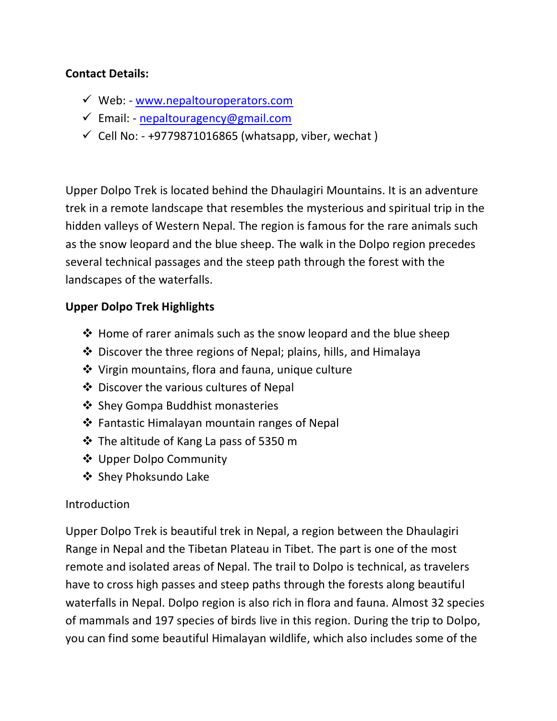#### **Contact Details:**

- $\checkmark$  Web: [www.nepaltouroperators.com](file:///C:/Users/User/Desktop/New%20Content/Nepal%20Trekking/www.nepaltouroperators.com)
- $\checkmark$  Email: [nepaltouragency@gmail.com](mailto:nepaltouragency@gmail.com)
- $\checkmark$  Cell No: +9779871016865 (whatsapp, viber, wechat)

Upper Dolpo Trek is located behind the Dhaulagiri Mountains. It is an adventure trek in a remote landscape that resembles the mysterious and spiritual trip in the hidden valleys of Western Nepal. The region is famous for the rare animals such as the snow leopard and the blue sheep. The walk in the Dolpo region precedes several technical passages and the steep path through the forest with the landscapes of the waterfalls.

### **Upper Dolpo Trek Highlights**

- $\triangle$  Home of rarer animals such as the snow leopard and the blue sheep
- $\triangle$  Discover the three regions of Nepal; plains, hills, and Himalaya
- Virgin mountains, flora and fauna, unique culture
- Discover the various cultures of Nepal
- ❖ Shey Gompa Buddhist monasteries
- $\triangle$  Fantastic Himalayan mountain ranges of Nepal
- $\cdot$  The altitude of Kang La pass of 5350 m
- ❖ Upper Dolpo Community
- ❖ Shey Phoksundo Lake

#### Introduction

Upper Dolpo Trek is beautiful trek in Nepal, a region between the Dhaulagiri Range in Nepal and the Tibetan Plateau in Tibet. The part is one of the most remote and isolated areas of Nepal. The trail to Dolpo is technical, as travelers have to cross high passes and steep paths through the forests along beautiful waterfalls in Nepal. Dolpo region is also rich in flora and fauna. Almost 32 species of mammals and 197 species of birds live in this region. During the trip to Dolpo, you can find some beautiful Himalayan wildlife, which also includes some of the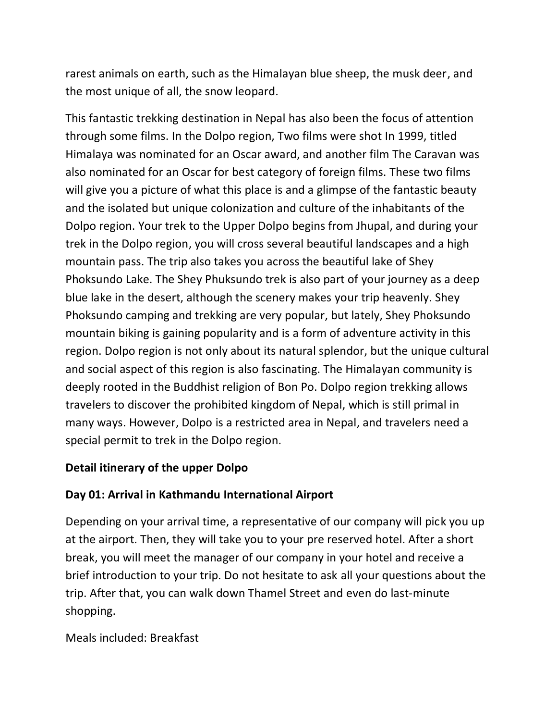rarest animals on earth, such as the Himalayan blue sheep, the musk deer, and the most unique of all, the snow leopard.

This fantastic trekking destination in Nepal has also been the focus of attention through some films. In the Dolpo region, Two films were shot In 1999, titled Himalaya was nominated for an Oscar award, and another film The Caravan was also nominated for an Oscar for best category of foreign films. These two films will give you a picture of what this place is and a glimpse of the fantastic beauty and the isolated but unique colonization and culture of the inhabitants of the Dolpo region. Your trek to the Upper Dolpo begins from Jhupal, and during your trek in the Dolpo region, you will cross several beautiful landscapes and a high mountain pass. The trip also takes you across the beautiful lake of Shey Phoksundo Lake. The Shey Phuksundo trek is also part of your journey as a deep blue lake in the desert, although the scenery makes your trip heavenly. Shey Phoksundo camping and trekking are very popular, but lately, Shey Phoksundo mountain biking is gaining popularity and is a form of adventure activity in this region. Dolpo region is not only about its natural splendor, but the unique cultural and social aspect of this region is also fascinating. The Himalayan community is deeply rooted in the Buddhist religion of Bon Po. Dolpo region trekking allows travelers to discover the prohibited kingdom of Nepal, which is still primal in many ways. However, Dolpo is a restricted area in Nepal, and travelers need a special permit to trek in the Dolpo region.

#### **Detail itinerary of the upper Dolpo**

#### **Day 01: Arrival in Kathmandu International Airport**

Depending on your arrival time, a representative of our company will pick you up at the airport. Then, they will take you to your pre reserved hotel. After a short break, you will meet the manager of our company in your hotel and receive a brief introduction to your trip. Do not hesitate to ask all your questions about the trip. After that, you can walk down Thamel Street and even do last-minute shopping.

Meals included: Breakfast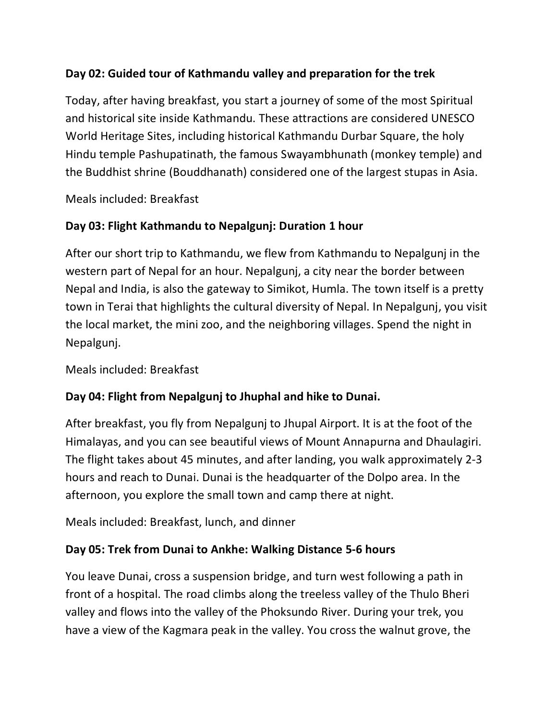## **Day 02: Guided tour of Kathmandu valley and preparation for the trek**

Today, after having breakfast, you start a journey of some of the most Spiritual and historical site inside Kathmandu. These attractions are considered UNESCO World Heritage Sites, including historical Kathmandu Durbar Square, the holy Hindu temple Pashupatinath, the famous Swayambhunath (monkey temple) and the Buddhist shrine (Bouddhanath) considered one of the largest stupas in Asia.

Meals included: Breakfast

### **Day 03: Flight Kathmandu to Nepalgunj: Duration 1 hour**

After our short trip to Kathmandu, we flew from Kathmandu to Nepalgunj in the western part of Nepal for an hour. Nepalgunj, a city near the border between Nepal and India, is also the gateway to Simikot, Humla. The town itself is a pretty town in Terai that highlights the cultural diversity of Nepal. In Nepalgunj, you visit the local market, the mini zoo, and the neighboring villages. Spend the night in Nepalgunj.

Meals included: Breakfast

### **Day 04: Flight from Nepalgunj to Jhuphal and hike to Dunai.**

After breakfast, you fly from Nepalgunj to Jhupal Airport. It is at the foot of the Himalayas, and you can see beautiful views of Mount Annapurna and Dhaulagiri. The flight takes about 45 minutes, and after landing, you walk approximately 2-3 hours and reach to Dunai. Dunai is the headquarter of the Dolpo area. In the afternoon, you explore the small town and camp there at night.

Meals included: Breakfast, lunch, and dinner

#### **Day 05: Trek from Dunai to Ankhe: Walking Distance 5-6 hours**

You leave Dunai, cross a suspension bridge, and turn west following a path in front of a hospital. The road climbs along the treeless valley of the Thulo Bheri valley and flows into the valley of the Phoksundo River. During your trek, you have a view of the Kagmara peak in the valley. You cross the walnut grove, the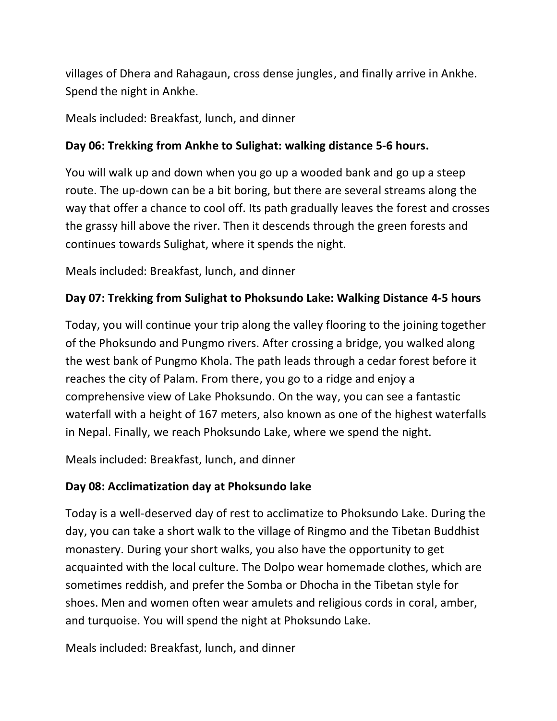villages of Dhera and Rahagaun, cross dense jungles, and finally arrive in Ankhe. Spend the night in Ankhe.

Meals included: Breakfast, lunch, and dinner

## **Day 06: Trekking from Ankhe to Sulighat: walking distance 5-6 hours.**

You will walk up and down when you go up a wooded bank and go up a steep route. The up-down can be a bit boring, but there are several streams along the way that offer a chance to cool off. Its path gradually leaves the forest and crosses the grassy hill above the river. Then it descends through the green forests and continues towards Sulighat, where it spends the night.

Meals included: Breakfast, lunch, and dinner

### **Day 07: Trekking from Sulighat to Phoksundo Lake: Walking Distance 4-5 hours**

Today, you will continue your trip along the valley flooring to the joining together of the Phoksundo and Pungmo rivers. After crossing a bridge, you walked along the west bank of Pungmo Khola. The path leads through a cedar forest before it reaches the city of Palam. From there, you go to a ridge and enjoy a comprehensive view of Lake Phoksundo. On the way, you can see a fantastic waterfall with a height of 167 meters, also known as one of the highest waterfalls in Nepal. Finally, we reach Phoksundo Lake, where we spend the night.

Meals included: Breakfast, lunch, and dinner

### **Day 08: Acclimatization day at Phoksundo lake**

Today is a well-deserved day of rest to acclimatize to Phoksundo Lake. During the day, you can take a short walk to the village of Ringmo and the Tibetan Buddhist monastery. During your short walks, you also have the opportunity to get acquainted with the local culture. The Dolpo wear homemade clothes, which are sometimes reddish, and prefer the Somba or Dhocha in the Tibetan style for shoes. Men and women often wear amulets and religious cords in coral, amber, and turquoise. You will spend the night at Phoksundo Lake.

Meals included: Breakfast, lunch, and dinner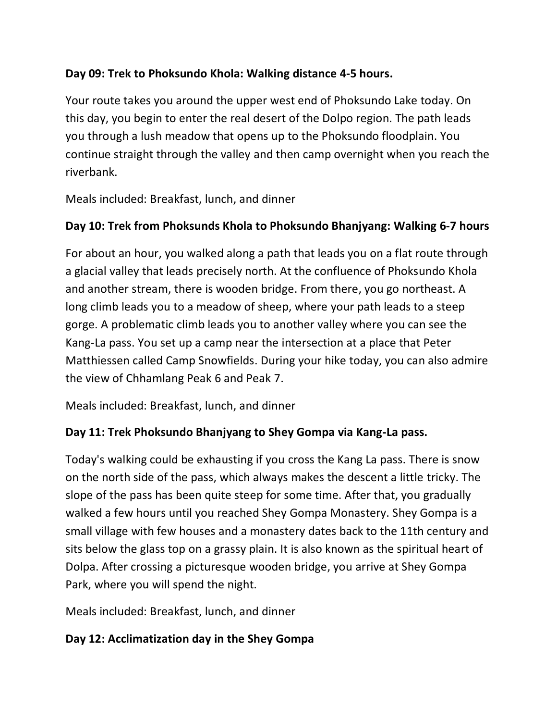## **Day 09: Trek to Phoksundo Khola: Walking distance 4-5 hours.**

Your route takes you around the upper west end of Phoksundo Lake today. On this day, you begin to enter the real desert of the Dolpo region. The path leads you through a lush meadow that opens up to the Phoksundo floodplain. You continue straight through the valley and then camp overnight when you reach the riverbank.

Meals included: Breakfast, lunch, and dinner

### **Day 10: Trek from Phoksunds Khola to Phoksundo Bhanjyang: Walking 6-7 hours**

For about an hour, you walked along a path that leads you on a flat route through a glacial valley that leads precisely north. At the confluence of Phoksundo Khola and another stream, there is wooden bridge. From there, you go northeast. A long climb leads you to a meadow of sheep, where your path leads to a steep gorge. A problematic climb leads you to another valley where you can see the Kang-La pass. You set up a camp near the intersection at a place that Peter Matthiessen called Camp Snowfields. During your hike today, you can also admire the view of Chhamlang Peak 6 and Peak 7.

Meals included: Breakfast, lunch, and dinner

### **Day 11: Trek Phoksundo Bhanjyang to Shey Gompa via Kang-La pass.**

Today's walking could be exhausting if you cross the Kang La pass. There is snow on the north side of the pass, which always makes the descent a little tricky. The slope of the pass has been quite steep for some time. After that, you gradually walked a few hours until you reached Shey Gompa Monastery. Shey Gompa is a small village with few houses and a monastery dates back to the 11th century and sits below the glass top on a grassy plain. It is also known as the spiritual heart of Dolpa. After crossing a picturesque wooden bridge, you arrive at Shey Gompa Park, where you will spend the night.

Meals included: Breakfast, lunch, and dinner

### **Day 12: Acclimatization day in the Shey Gompa**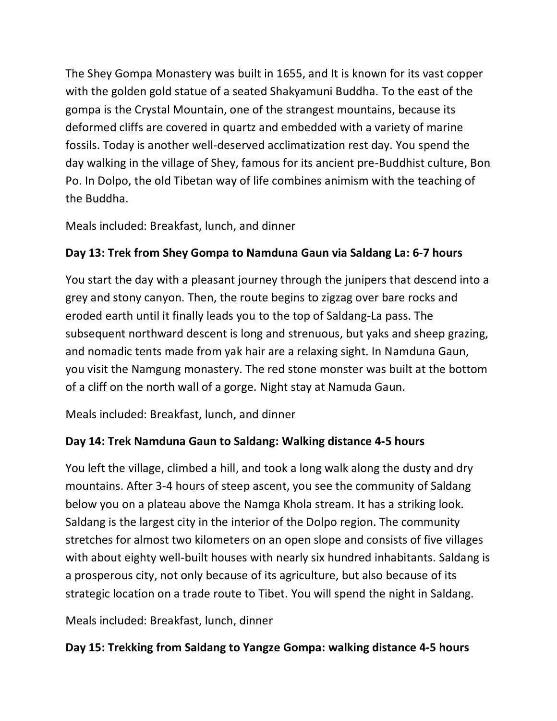The Shey Gompa Monastery was built in 1655, and It is known for its vast copper with the golden gold statue of a seated Shakyamuni Buddha. To the east of the gompa is the Crystal Mountain, one of the strangest mountains, because its deformed cliffs are covered in quartz and embedded with a variety of marine fossils. Today is another well-deserved acclimatization rest day. You spend the day walking in the village of Shey, famous for its ancient pre-Buddhist culture, Bon Po. In Dolpo, the old Tibetan way of life combines animism with the teaching of the Buddha.

Meals included: Breakfast, lunch, and dinner

# **Day 13: Trek from Shey Gompa to Namduna Gaun via Saldang La: 6-7 hours**

You start the day with a pleasant journey through the junipers that descend into a grey and stony canyon. Then, the route begins to zigzag over bare rocks and eroded earth until it finally leads you to the top of Saldang-La pass. The subsequent northward descent is long and strenuous, but yaks and sheep grazing, and nomadic tents made from yak hair are a relaxing sight. In Namduna Gaun, you visit the Namgung monastery. The red stone monster was built at the bottom of a cliff on the north wall of a gorge. Night stay at Namuda Gaun.

Meals included: Breakfast, lunch, and dinner

# **Day 14: Trek Namduna Gaun to Saldang: Walking distance 4-5 hours**

You left the village, climbed a hill, and took a long walk along the dusty and dry mountains. After 3-4 hours of steep ascent, you see the community of Saldang below you on a plateau above the Namga Khola stream. It has a striking look. Saldang is the largest city in the interior of the Dolpo region. The community stretches for almost two kilometers on an open slope and consists of five villages with about eighty well-built houses with nearly six hundred inhabitants. Saldang is a prosperous city, not only because of its agriculture, but also because of its strategic location on a trade route to Tibet. You will spend the night in Saldang.

Meals included: Breakfast, lunch, dinner

# **Day 15: Trekking from Saldang to Yangze Gompa: walking distance 4-5 hours**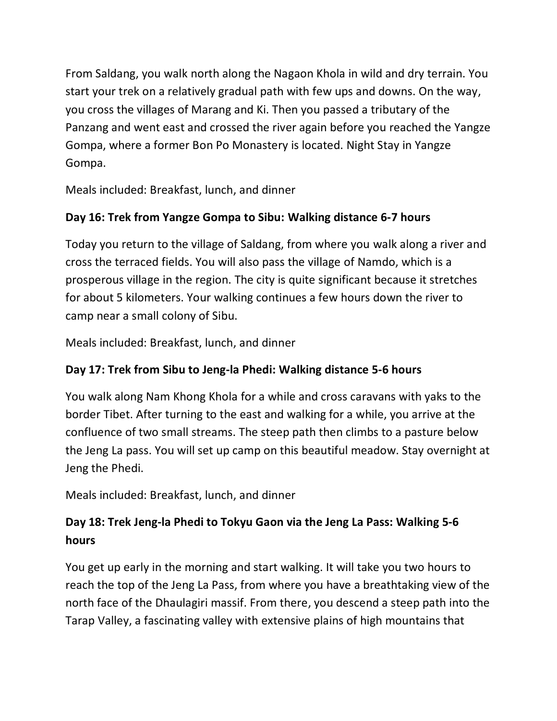From Saldang, you walk north along the Nagaon Khola in wild and dry terrain. You start your trek on a relatively gradual path with few ups and downs. On the way, you cross the villages of Marang and Ki. Then you passed a tributary of the Panzang and went east and crossed the river again before you reached the Yangze Gompa, where a former Bon Po Monastery is located. Night Stay in Yangze Gompa.

Meals included: Breakfast, lunch, and dinner

## **Day 16: Trek from Yangze Gompa to Sibu: Walking distance 6-7 hours**

Today you return to the village of Saldang, from where you walk along a river and cross the terraced fields. You will also pass the village of Namdo, which is a prosperous village in the region. The city is quite significant because it stretches for about 5 kilometers. Your walking continues a few hours down the river to camp near a small colony of Sibu.

Meals included: Breakfast, lunch, and dinner

# **Day 17: Trek from Sibu to Jeng-la Phedi: Walking distance 5-6 hours**

You walk along Nam Khong Khola for a while and cross caravans with yaks to the border Tibet. After turning to the east and walking for a while, you arrive at the confluence of two small streams. The steep path then climbs to a pasture below the Jeng La pass. You will set up camp on this beautiful meadow. Stay overnight at Jeng the Phedi.

Meals included: Breakfast, lunch, and dinner

# **Day 18: Trek Jeng-la Phedi to Tokyu Gaon via the Jeng La Pass: Walking 5-6 hours**

You get up early in the morning and start walking. It will take you two hours to reach the top of the Jeng La Pass, from where you have a breathtaking view of the north face of the Dhaulagiri massif. From there, you descend a steep path into the Tarap Valley, a fascinating valley with extensive plains of high mountains that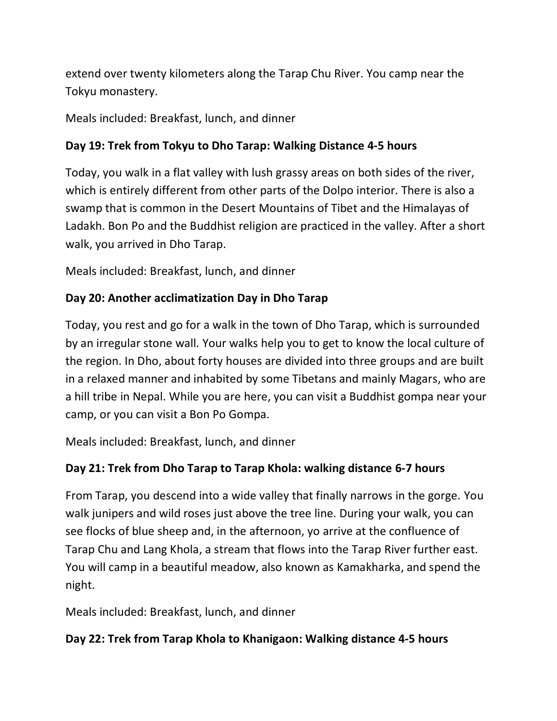extend over twenty kilometers along the Tarap Chu River. You camp near the Tokyu monastery.

Meals included: Breakfast, lunch, and dinner

## **Day 19: Trek from Tokyu to Dho Tarap: Walking Distance 4-5 hours**

Today, you walk in a flat valley with lush grassy areas on both sides of the river, which is entirely different from other parts of the Dolpo interior. There is also a swamp that is common in the Desert Mountains of Tibet and the Himalayas of Ladakh. Bon Po and the Buddhist religion are practiced in the valley. After a short walk, you arrived in Dho Tarap.

Meals included: Breakfast, lunch, and dinner

# **Day 20: Another acclimatization Day in Dho Tarap**

Today, you rest and go for a walk in the town of Dho Tarap, which is surrounded by an irregular stone wall. Your walks help you to get to know the local culture of the region. In Dho, about forty houses are divided into three groups and are built in a relaxed manner and inhabited by some Tibetans and mainly Magars, who are a hill tribe in Nepal. While you are here, you can visit a Buddhist gompa near your camp, or you can visit a Bon Po Gompa.

Meals included: Breakfast, lunch, and dinner

# **Day 21: Trek from Dho Tarap to Tarap Khola: walking distance 6-7 hours**

From Tarap, you descend into a wide valley that finally narrows in the gorge. You walk junipers and wild roses just above the tree line. During your walk, you can see flocks of blue sheep and, in the afternoon, yo arrive at the confluence of Tarap Chu and Lang Khola, a stream that flows into the Tarap River further east. You will camp in a beautiful meadow, also known as Kamakharka, and spend the night.

Meals included: Breakfast, lunch, and dinner

## **Day 22: Trek from Tarap Khola to Khanigaon: Walking distance 4-5 hours**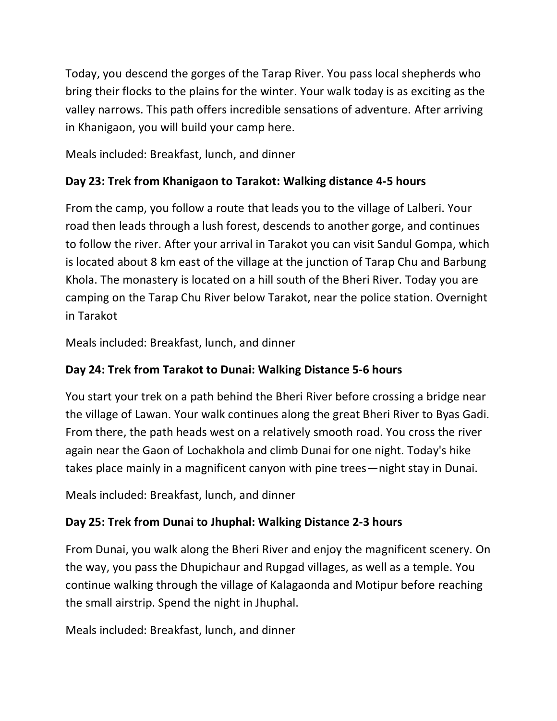Today, you descend the gorges of the Tarap River. You pass local shepherds who bring their flocks to the plains for the winter. Your walk today is as exciting as the valley narrows. This path offers incredible sensations of adventure. After arriving in Khanigaon, you will build your camp here.

Meals included: Breakfast, lunch, and dinner

## **Day 23: Trek from Khanigaon to Tarakot: Walking distance 4-5 hours**

From the camp, you follow a route that leads you to the village of Lalberi. Your road then leads through a lush forest, descends to another gorge, and continues to follow the river. After your arrival in Tarakot you can visit Sandul Gompa, which is located about 8 km east of the village at the junction of Tarap Chu and Barbung Khola. The monastery is located on a hill south of the Bheri River. Today you are camping on the Tarap Chu River below Tarakot, near the police station. Overnight in Tarakot

Meals included: Breakfast, lunch, and dinner

## **Day 24: Trek from Tarakot to Dunai: Walking Distance 5-6 hours**

You start your trek on a path behind the Bheri River before crossing a bridge near the village of Lawan. Your walk continues along the great Bheri River to Byas Gadi. From there, the path heads west on a relatively smooth road. You cross the river again near the Gaon of Lochakhola and climb Dunai for one night. Today's hike takes place mainly in a magnificent canyon with pine trees—night stay in Dunai.

Meals included: Breakfast, lunch, and dinner

# **Day 25: Trek from Dunai to Jhuphal: Walking Distance 2-3 hours**

From Dunai, you walk along the Bheri River and enjoy the magnificent scenery. On the way, you pass the Dhupichaur and Rupgad villages, as well as a temple. You continue walking through the village of Kalagaonda and Motipur before reaching the small airstrip. Spend the night in Jhuphal.

Meals included: Breakfast, lunch, and dinner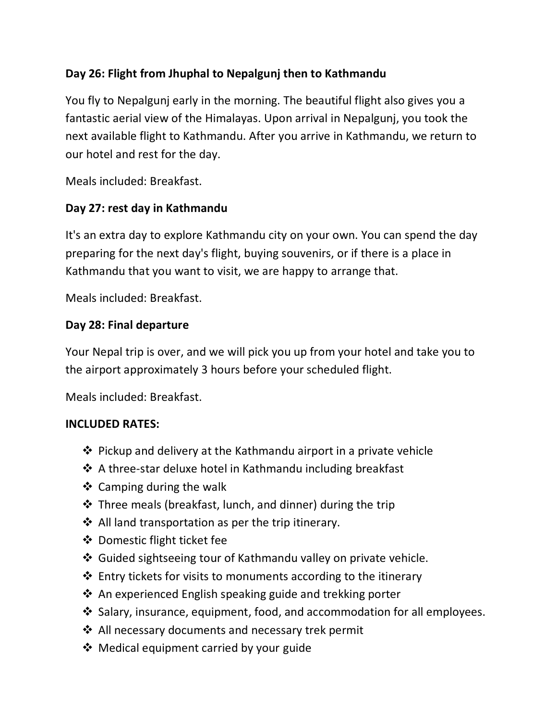## **Day 26: Flight from Jhuphal to Nepalgunj then to Kathmandu**

You fly to Nepalgunj early in the morning. The beautiful flight also gives you a fantastic aerial view of the Himalayas. Upon arrival in Nepalgunj, you took the next available flight to Kathmandu. After you arrive in Kathmandu, we return to our hotel and rest for the day.

Meals included: Breakfast.

### **Day 27: rest day in Kathmandu**

It's an extra day to explore Kathmandu city on your own. You can spend the day preparing for the next day's flight, buying souvenirs, or if there is a place in Kathmandu that you want to visit, we are happy to arrange that.

Meals included: Breakfast.

### **Day 28: Final departure**

Your Nepal trip is over, and we will pick you up from your hotel and take you to the airport approximately 3 hours before your scheduled flight.

Meals included: Breakfast.

#### **INCLUDED RATES:**

- $\div$  Pickup and delivery at the Kathmandu airport in a private vehicle
- $\clubsuit$  A three-star deluxe hotel in Kathmandu including breakfast
- $\triangleleft$  Camping during the walk
- $\cdot$  Three meals (breakfast, lunch, and dinner) during the trip
- All land transportation as per the trip itinerary.
- ❖ Domestic flight ticket fee
- Guided sightseeing tour of Kathmandu valley on private vehicle.
- $\cdot$  Entry tickets for visits to monuments according to the itinerary
- $\triangle$  An experienced English speaking guide and trekking porter
- $\cdot$  Salary, insurance, equipment, food, and accommodation for all employees.
- ❖ All necessary documents and necessary trek permit
- Medical equipment carried by your guide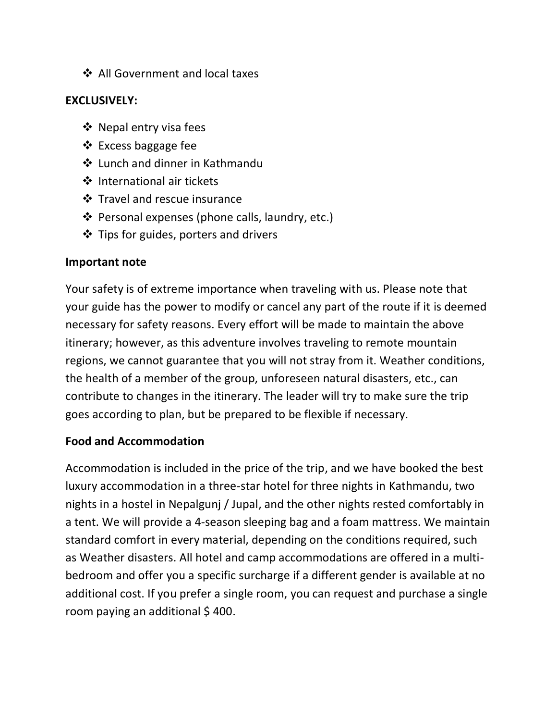❖ All Government and local taxes

### **EXCLUSIVELY:**

- ❖ Nepal entry visa fees
- ❖ Excess baggage fee
- Lunch and dinner in Kathmandu
- ❖ International air tickets
- Travel and rescue insurance
- ❖ Personal expenses (phone calls, laundry, etc.)
- $\triangleleft$  Tips for guides, porters and drivers

#### **Important note**

Your safety is of extreme importance when traveling with us. Please note that your guide has the power to modify or cancel any part of the route if it is deemed necessary for safety reasons. Every effort will be made to maintain the above itinerary; however, as this adventure involves traveling to remote mountain regions, we cannot guarantee that you will not stray from it. Weather conditions, the health of a member of the group, unforeseen natural disasters, etc., can contribute to changes in the itinerary. The leader will try to make sure the trip goes according to plan, but be prepared to be flexible if necessary.

### **Food and Accommodation**

Accommodation is included in the price of the trip, and we have booked the best luxury accommodation in a three-star hotel for three nights in Kathmandu, two nights in a hostel in Nepalgunj / Jupal, and the other nights rested comfortably in a tent. We will provide a 4-season sleeping bag and a foam mattress. We maintain standard comfort in every material, depending on the conditions required, such as Weather disasters. All hotel and camp accommodations are offered in a multibedroom and offer you a specific surcharge if a different gender is available at no additional cost. If you prefer a single room, you can request and purchase a single room paying an additional \$400.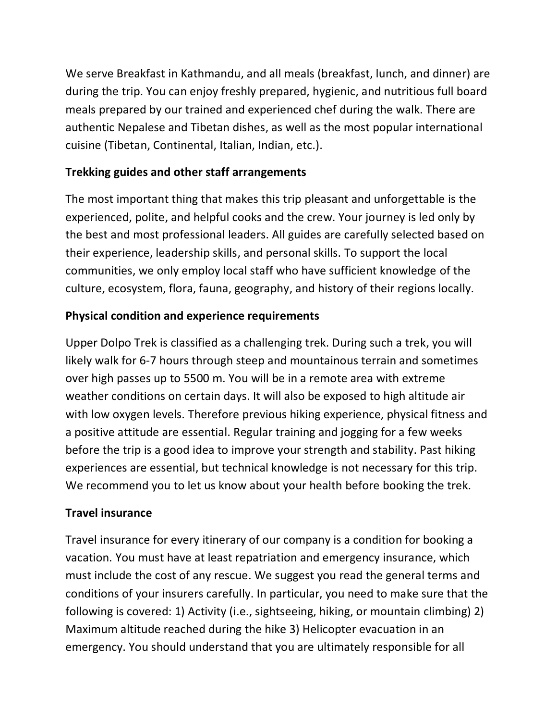We serve Breakfast in Kathmandu, and all meals (breakfast, lunch, and dinner) are during the trip. You can enjoy freshly prepared, hygienic, and nutritious full board meals prepared by our trained and experienced chef during the walk. There are authentic Nepalese and Tibetan dishes, as well as the most popular international cuisine (Tibetan, Continental, Italian, Indian, etc.).

## **Trekking guides and other staff arrangements**

The most important thing that makes this trip pleasant and unforgettable is the experienced, polite, and helpful cooks and the crew. Your journey is led only by the best and most professional leaders. All guides are carefully selected based on their experience, leadership skills, and personal skills. To support the local communities, we only employ local staff who have sufficient knowledge of the culture, ecosystem, flora, fauna, geography, and history of their regions locally.

## **Physical condition and experience requirements**

Upper Dolpo Trek is classified as a challenging trek. During such a trek, you will likely walk for 6-7 hours through steep and mountainous terrain and sometimes over high passes up to 5500 m. You will be in a remote area with extreme weather conditions on certain days. It will also be exposed to high altitude air with low oxygen levels. Therefore previous hiking experience, physical fitness and a positive attitude are essential. Regular training and jogging for a few weeks before the trip is a good idea to improve your strength and stability. Past hiking experiences are essential, but technical knowledge is not necessary for this trip. We recommend you to let us know about your health before booking the trek.

### **Travel insurance**

Travel insurance for every itinerary of our company is a condition for booking a vacation. You must have at least repatriation and emergency insurance, which must include the cost of any rescue. We suggest you read the general terms and conditions of your insurers carefully. In particular, you need to make sure that the following is covered: 1) Activity (i.e., sightseeing, hiking, or mountain climbing) 2) Maximum altitude reached during the hike 3) Helicopter evacuation in an emergency. You should understand that you are ultimately responsible for all